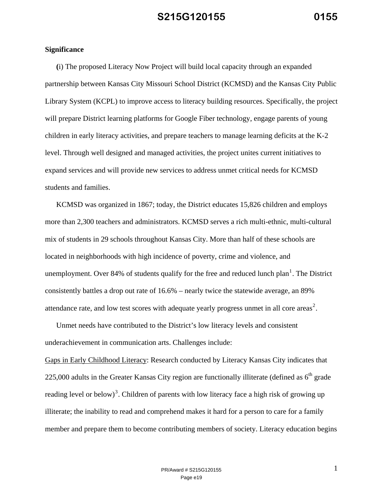#### **Significance**

**(**i) The proposed Literacy Now Project will build local capacity through an expanded partnership between Kansas City Missouri School District (KCMSD) and the Kansas City Public Library System (KCPL) to improve access to literacy building resources. Specifically, the project will prepare District learning platforms for Google Fiber technology, engage parents of young children in early literacy activities, and prepare teachers to manage learning deficits at the K-2 level. Through well designed and managed activities, the project unites current initiatives to expand services and will provide new services to address unmet critical needs for KCMSD students and families.

KCMSD was organized in 1867; today, the District educates 15,826 children and employs more than 2,300 teachers and administrators. KCMSD serves a rich multi-ethnic, multi-cultural mix of students in 29 schools throughout Kansas City. More than half of these schools are located in neighborhoods with high incidence of poverty, crime and violence, and unemployment. Over 84% of students qualify for the free and reduced lunch plan<sup>1</sup>. The District consistently battles a drop out rate of 16.6% – nearly twice the statewide average, an 89% attendance rate, and low test scores with adequate yearly progress unmet in all core areas<sup>2</sup>.

Unmet needs have contributed to the District's low literacy levels and consistent underachievement in communication arts. Challenges include:

Gaps in Early Childhood Literacy: Research conducted by Literacy Kansas City indicates that 225,000 adults in the Greater Kansas City region are functionally illiterate (defined as  $6<sup>th</sup>$  grade reading level or below)<sup>3</sup>. Children of parents with low literacy face a high risk of growing up illiterate; the inability to read and comprehend makes it hard for a person to care for a family member and prepare them to become contributing members of society. Literacy education begins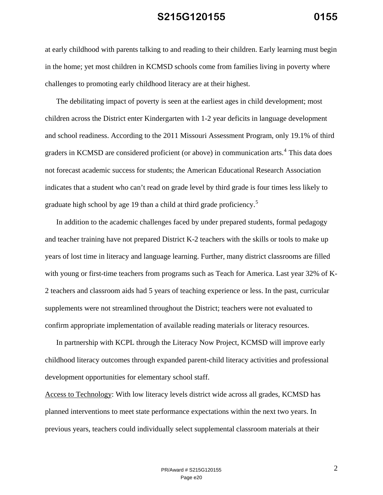at early childhood with parents talking to and reading to their children. Early learning must begin in the home; yet most children in KCMSD schools come from families living in poverty where challenges to promoting early childhood literacy are at their highest.

The debilitating impact of poverty is seen at the earliest ages in child development; most children across the District enter Kindergarten with 1-2 year deficits in language development and school readiness. According to the 2011 Missouri Assessment Program, only 19.1% of third graders in KCMSD are considered proficient (or above) in communication arts.<sup>4</sup> This data does not forecast academic success for students; the American Educational Research Association indicates that a student who can't read on grade level by third grade is four times less likely to graduate high school by age 19 than a child at third grade proficiency.<sup>5</sup>

In addition to the academic challenges faced by under prepared students, formal pedagogy and teacher training have not prepared District K-2 teachers with the skills or tools to make up years of lost time in literacy and language learning. Further, many district classrooms are filled with young or first-time teachers from programs such as Teach for America. Last year 32% of K-2 teachers and classroom aids had 5 years of teaching experience or less. In the past, curricular supplements were not streamlined throughout the District; teachers were not evaluated to confirm appropriate implementation of available reading materials or literacy resources.

In partnership with KCPL through the Literacy Now Project, KCMSD will improve early childhood literacy outcomes through expanded parent-child literacy activities and professional development opportunities for elementary school staff.

Access to Technology: With low literacy levels district wide across all grades, KCMSD has planned interventions to meet state performance expectations within the next two years. In previous years, teachers could individually select supplemental classroom materials at their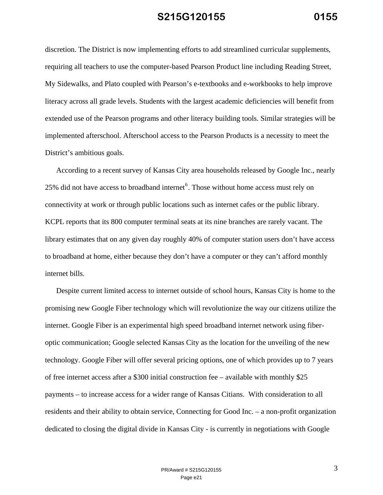discretion. The District is now implementing efforts to add streamlined curricular supplements, requiring all teachers to use the computer-based Pearson Product line including Reading Street, My Sidewalks, and Plato coupled with Pearson's e-textbooks and e-workbooks to help improve literacy across all grade levels. Students with the largest academic deficiencies will benefit from extended use of the Pearson programs and other literacy building tools. Similar strategies will be implemented afterschool. Afterschool access to the Pearson Products is a necessity to meet the District's ambitious goals.

According to a recent survey of Kansas City area households released by Google Inc., nearly 25% did not have access to broadband internet  $6$ . Those without home access must rely on connectivity at work or through public locations such as internet cafes or the public library. KCPL reports that its 800 computer terminal seats at its nine branches are rarely vacant. The library estimates that on any given day roughly 40% of computer station users don't have access to broadband at home, either because they don't have a computer or they can't afford monthly internet bills.

Despite current limited access to internet outside of school hours, Kansas City is home to the promising new Google Fiber technology which will revolutionize the way our citizens utilize the internet. Google Fiber is an experimental high speed broadband internet network using fiberoptic communication; Google selected Kansas City as the location for the unveiling of the new technology. Google Fiber will offer several pricing options, one of which provides up to 7 years of free internet access after a \$300 initial construction fee – available with monthly \$25 payments – to increase access for a wider range of Kansas Citians. With consideration to all residents and their ability to obtain service, Connecting for Good Inc. – a non-profit organization dedicated to closing the digital divide in Kansas City - is currently in negotiations with Google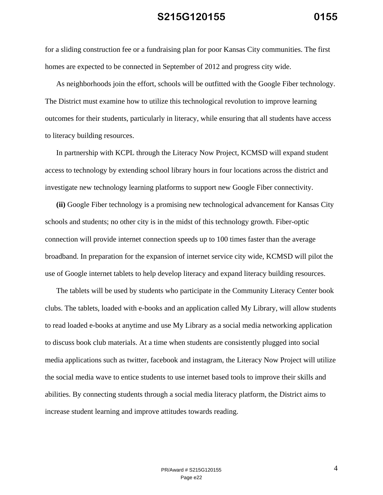for a sliding construction fee or a fundraising plan for poor Kansas City communities. The first homes are expected to be connected in September of 2012 and progress city wide.

As neighborhoods join the effort, schools will be outfitted with the Google Fiber technology. The District must examine how to utilize this technological revolution to improve learning outcomes for their students, particularly in literacy, while ensuring that all students have access to literacy building resources.

In partnership with KCPL through the Literacy Now Project, KCMSD will expand student access to technology by extending school library hours in four locations across the district and investigate new technology learning platforms to support new Google Fiber connectivity.

**(ii)** Google Fiber technology is a promising new technological advancement for Kansas City schools and students; no other city is in the midst of this technology growth. Fiber-optic connection will provide internet connection speeds up to 100 times faster than the average broadband. In preparation for the expansion of internet service city wide, KCMSD will pilot the use of Google internet tablets to help develop literacy and expand literacy building resources.

The tablets will be used by students who participate in the Community Literacy Center book clubs. The tablets, loaded with e-books and an application called My Library, will allow students to read loaded e-books at anytime and use My Library as a social media networking application to discuss book club materials. At a time when students are consistently plugged into social media applications such as twitter, facebook and instagram, the Literacy Now Project will utilize the social media wave to entice students to use internet based tools to improve their skills and abilities. By connecting students through a social media literacy platform, the District aims to increase student learning and improve attitudes towards reading.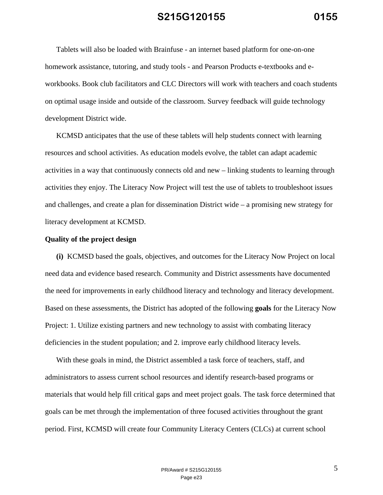Tablets will also be loaded with Brainfuse - an internet based platform for one-on-one homework assistance, tutoring, and study tools - and Pearson Products e-textbooks and eworkbooks. Book club facilitators and CLC Directors will work with teachers and coach students on optimal usage inside and outside of the classroom. Survey feedback will guide technology development District wide.

KCMSD anticipates that the use of these tablets will help students connect with learning resources and school activities. As education models evolve, the tablet can adapt academic activities in a way that continuously connects old and new – linking students to learning through activities they enjoy. The Literacy Now Project will test the use of tablets to troubleshoot issues and challenges, and create a plan for dissemination District wide – a promising new strategy for literacy development at KCMSD.

#### **Quality of the project design**

**(i)** KCMSD based the goals, objectives, and outcomes for the Literacy Now Project on local need data and evidence based research. Community and District assessments have documented the need for improvements in early childhood literacy and technology and literacy development. Based on these assessments, the District has adopted of the following **goals** for the Literacy Now Project: 1. Utilize existing partners and new technology to assist with combating literacy deficiencies in the student population; and 2. improve early childhood literacy levels.

With these goals in mind, the District assembled a task force of teachers, staff, and administrators to assess current school resources and identify research-based programs or materials that would help fill critical gaps and meet project goals. The task force determined that goals can be met through the implementation of three focused activities throughout the grant period. First, KCMSD will create four Community Literacy Centers (CLCs) at current school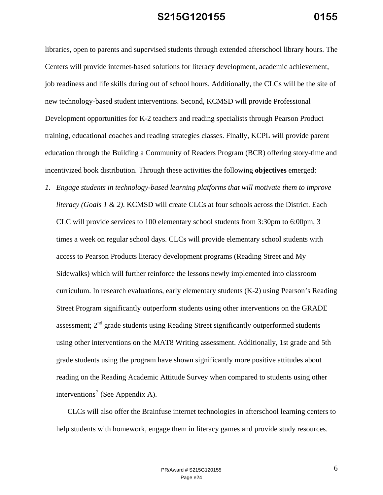libraries, open to parents and supervised students through extended afterschool library hours. The Centers will provide internet-based solutions for literacy development, academic achievement, job readiness and life skills during out of school hours. Additionally, the CLCs will be the site of new technology-based student interventions. Second, KCMSD will provide Professional Development opportunities for K-2 teachers and reading specialists through Pearson Product training, educational coaches and reading strategies classes. Finally, KCPL will provide parent education through the Building a Community of Readers Program (BCR) offering story-time and incentivized book distribution. Through these activities the following **objectives** emerged:

*1. Engage students in technology-based learning platforms that will motivate them to improve literacy (Goals 1 & 2)*. KCMSD will create CLCs at four schools across the District. Each CLC will provide services to 100 elementary school students from 3:30pm to 6:00pm, 3 times a week on regular school days. CLCs will provide elementary school students with access to Pearson Products literacy development programs (Reading Street and My Sidewalks) which will further reinforce the lessons newly implemented into classroom curriculum. In research evaluations, early elementary students (K-2) using Pearson's Reading Street Program significantly outperform students using other interventions on the GRADE assessment;  $2<sup>nd</sup>$  grade students using Reading Street significantly outperformed students using other interventions on the MAT8 Writing assessment. Additionally, 1st grade and 5th grade students using the program have shown significantly more positive attitudes about reading on the Reading Academic Attitude Survey when compared to students using other interventions<sup>7</sup> (See Appendix A).

CLCs will also offer the Brainfuse internet technologies in afterschool learning centers to help students with homework, engage them in literacy games and provide study resources.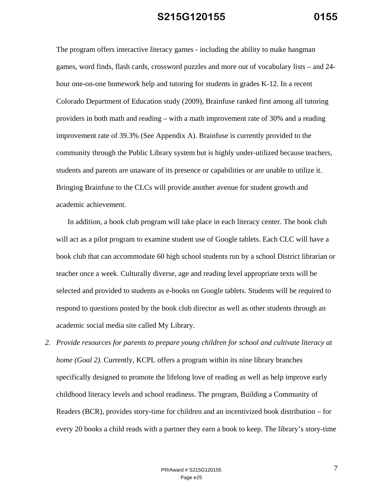The program offers interactive literacy games - including the ability to make hangman games, word finds, flash cards, crossword puzzles and more out of vocabulary lists – and 24 hour one-on-one homework help and tutoring for students in grades K-12. In a recent Colorado Department of Education study (2009), Brainfuse ranked first among all tutoring providers in both math and reading – with a math improvement rate of 30% and a reading improvement rate of 39.3% (See Appendix A). Brainfuse is currently provided to the community through the Public Library system but is highly under-utilized because teachers, students and parents are unaware of its presence or capabilities or are unable to utilize it. Bringing Brainfuse to the CLCs will provide another avenue for student growth and academic achievement.

In addition, a book club program will take place in each literacy center. The book club will act as a pilot program to examine student use of Google tablets. Each CLC will have a book club that can accommodate 60 high school students run by a school District librarian or teacher once a week. Culturally diverse, age and reading level appropriate texts will be selected and provided to students as e-books on Google tablets. Students will be required to respond to questions posted by the book club director as well as other students through an academic social media site called My Library.

*2. Provide resources for parents to prepare young children for school and cultivate literacy at home (Goal 2)*. Currently, KCPL offers a program within its nine library branches specifically designed to promote the lifelong love of reading as well as help improve early childhood literacy levels and school readiness. The program, Building a Community of Readers (BCR), provides story-time for children and an incentivized book distribution – for every 20 books a child reads with a partner they earn a book to keep. The library's story-time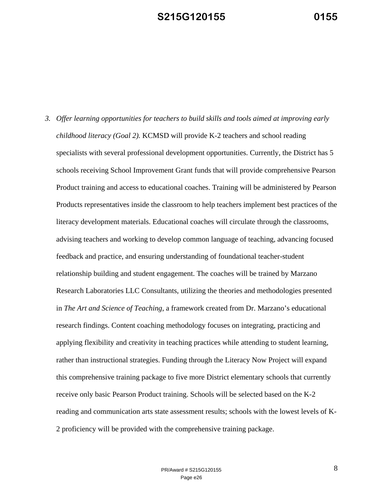*3. Offer learning opportunities for teachers to build skills and tools aimed at improving early childhood literacy (Goal 2).* KCMSD will provide K-2 teachers and school reading specialists with several professional development opportunities. Currently, the District has 5 schools receiving School Improvement Grant funds that will provide comprehensive Pearson Product training and access to educational coaches. Training will be administered by Pearson Products representatives inside the classroom to help teachers implement best practices of the literacy development materials. Educational coaches will circulate through the classrooms, advising teachers and working to develop common language of teaching, advancing focused feedback and practice, and ensuring understanding of foundational teacher-student relationship building and student engagement. The coaches will be trained by Marzano Research Laboratories LLC Consultants, utilizing the theories and methodologies presented in *The Art and Science of Teaching*, a framework created from Dr. Marzano's educational research findings. Content coaching methodology focuses on integrating, practicing and applying flexibility and creativity in teaching practices while attending to student learning, rather than instructional strategies. Funding through the Literacy Now Project will expand this comprehensive training package to five more District elementary schools that currently receive only basic Pearson Product training. Schools will be selected based on the K-2 reading and communication arts state assessment results; schools with the lowest levels of K-2 proficiency will be provided with the comprehensive training package.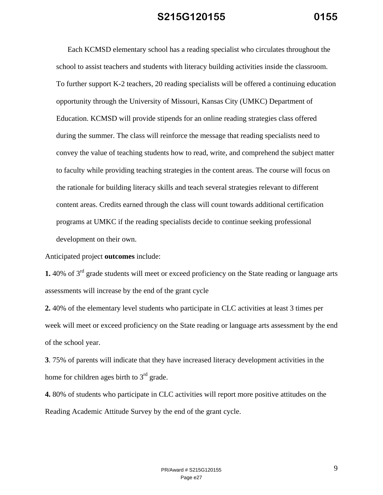Each KCMSD elementary school has a reading specialist who circulates throughout the school to assist teachers and students with literacy building activities inside the classroom. To further support K-2 teachers, 20 reading specialists will be offered a continuing education opportunity through the University of Missouri, Kansas City (UMKC) Department of Education. KCMSD will provide stipends for an online reading strategies class offered during the summer. The class will reinforce the message that reading specialists need to convey the value of teaching students how to read, write, and comprehend the subject matter to faculty while providing teaching strategies in the content areas. The course will focus on the rationale for building literacy skills and teach several strategies relevant to different content areas. Credits earned through the class will count towards additional certification programs at UMKC if the reading specialists decide to continue seeking professional development on their own.

Anticipated project **outcomes** include:

**1.** 40% of 3<sup>rd</sup> grade students will meet or exceed proficiency on the State reading or language arts assessments will increase by the end of the grant cycle

**2.** 40% of the elementary level students who participate in CLC activities at least 3 times per week will meet or exceed proficiency on the State reading or language arts assessment by the end of the school year.

**3**. 75% of parents will indicate that they have increased literacy development activities in the home for children ages birth to  $3<sup>rd</sup>$  grade.

**4.** 80% of students who participate in CLC activities will report more positive attitudes on the Reading Academic Attitude Survey by the end of the grant cycle.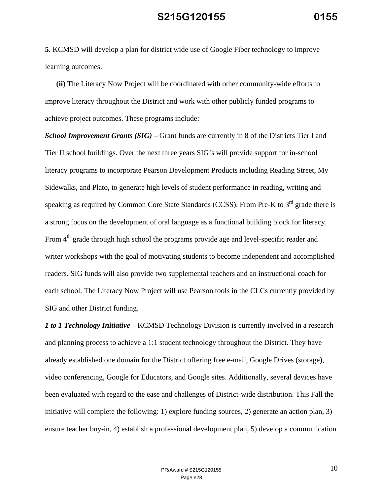**5.** KCMSD will develop a plan for district wide use of Google Fiber technology to improve learning outcomes.

**(ii)** The Literacy Now Project will be coordinated with other community-wide efforts to improve literacy throughout the District and work with other publicly funded programs to achieve project outcomes. These programs include:

*School Improvement Grants (SIG)* – Grant funds are currently in 8 of the Districts Tier I and Tier II school buildings. Over the next three years SIG's will provide support for in-school literacy programs to incorporate Pearson Development Products including Reading Street, My Sidewalks, and Plato, to generate high levels of student performance in reading, writing and speaking as required by Common Core State Standards (CCSS). From Pre-K to 3<sup>rd</sup> grade there is a strong focus on the development of oral language as a functional building block for literacy. From  $4<sup>th</sup>$  grade through high school the programs provide age and level-specific reader and writer workshops with the goal of motivating students to become independent and accomplished readers. SIG funds will also provide two supplemental teachers and an instructional coach for each school. The Literacy Now Project will use Pearson tools in the CLCs currently provided by SIG and other District funding.

*1 to 1 Technology Initiative –* KCMSD Technology Division is currently involved in a research and planning process to achieve a 1:1 student technology throughout the District. They have already established one domain for the District offering free e-mail, Google Drives (storage), video conferencing, Google for Educators, and Google sites. Additionally, several devices have been evaluated with regard to the ease and challenges of District-wide distribution. This Fall the initiative will complete the following: 1) explore funding sources, 2) generate an action plan, 3) ensure teacher buy-in, 4) establish a professional development plan, 5) develop a communication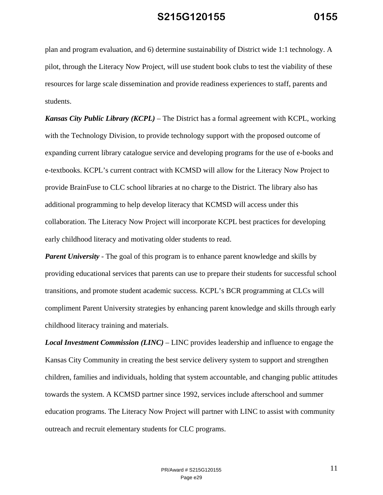plan and program evaluation, and 6) determine sustainability of District wide 1:1 technology. A pilot, through the Literacy Now Project, will use student book clubs to test the viability of these resources for large scale dissemination and provide readiness experiences to staff, parents and students.

*Kansas City Public Library (KCPL)* – The District has a formal agreement with KCPL, working with the Technology Division, to provide technology support with the proposed outcome of expanding current library catalogue service and developing programs for the use of e-books and e-textbooks. KCPL's current contract with KCMSD will allow for the Literacy Now Project to provide BrainFuse to CLC school libraries at no charge to the District. The library also has additional programming to help develop literacy that KCMSD will access under this collaboration. The Literacy Now Project will incorporate KCPL best practices for developing early childhood literacy and motivating older students to read.

*Parent University* - The goal of this program is to enhance parent knowledge and skills by providing educational services that parents can use to prepare their students for successful school transitions, and promote student academic success. KCPL's BCR programming at CLCs will compliment Parent University strategies by enhancing parent knowledge and skills through early childhood literacy training and materials.

*Local Investment Commission (LINC)* – LINC provides leadership and influence to engage the Kansas City Community in creating the best service delivery system to support and strengthen children, families and individuals, holding that system accountable, and changing public attitudes towards the system. A KCMSD partner since 1992, services include afterschool and summer education programs. The Literacy Now Project will partner with LINC to assist with community outreach and recruit elementary students for CLC programs.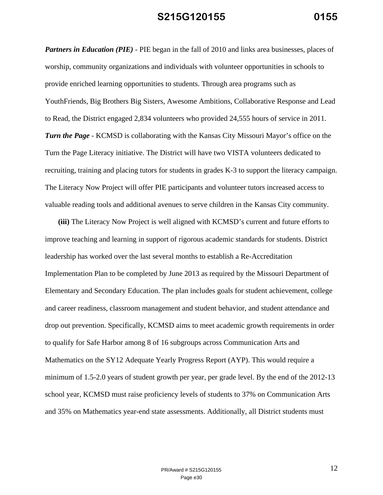*Partners in Education (PIE)* - PIE began in the fall of 2010 and links area businesses, places of worship, community organizations and individuals with volunteer opportunities in schools to provide enriched learning opportunities to students. Through area programs such as YouthFriends, Big Brothers Big Sisters, Awesome Ambitions, Collaborative Response and Lead to Read, the District engaged 2,834 volunteers who provided 24,555 hours of service in 2011. *Turn the Page* - KCMSD is collaborating with the Kansas City Missouri Mayor's office on the Turn the Page Literacy initiative. The District will have two VISTA volunteers dedicated to recruiting, training and placing tutors for students in grades K-3 to support the literacy campaign. The Literacy Now Project will offer PIE participants and volunteer tutors increased access to valuable reading tools and additional avenues to serve children in the Kansas City community.

 **(iii)** The Literacy Now Project is well aligned with KCMSD's current and future efforts to improve teaching and learning in support of rigorous academic standards for students. District leadership has worked over the last several months to establish a Re-Accreditation Implementation Plan to be completed by June 2013 as required by the Missouri Department of Elementary and Secondary Education. The plan includes goals for student achievement, college and career readiness, classroom management and student behavior, and student attendance and drop out prevention. Specifically, KCMSD aims to meet academic growth requirements in order to qualify for Safe Harbor among 8 of 16 subgroups across Communication Arts and Mathematics on the SY12 Adequate Yearly Progress Report (AYP). This would require a minimum of 1.5-2.0 years of student growth per year, per grade level. By the end of the 2012-13 school year, KCMSD must raise proficiency levels of students to 37% on Communication Arts and 35% on Mathematics year-end state assessments. Additionally, all District students must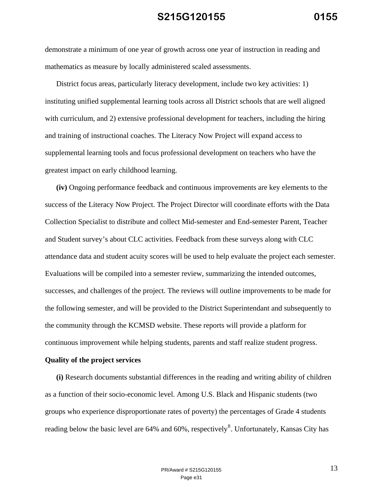demonstrate a minimum of one year of growth across one year of instruction in reading and mathematics as measure by locally administered scaled assessments.

District focus areas, particularly literacy development, include two key activities: 1) instituting unified supplemental learning tools across all District schools that are well aligned with curriculum, and 2) extensive professional development for teachers, including the hiring and training of instructional coaches. The Literacy Now Project will expand access to supplemental learning tools and focus professional development on teachers who have the greatest impact on early childhood learning.

**(iv)** Ongoing performance feedback and continuous improvements are key elements to the success of the Literacy Now Project. The Project Director will coordinate efforts with the Data Collection Specialist to distribute and collect Mid-semester and End-semester Parent, Teacher and Student survey's about CLC activities. Feedback from these surveys along with CLC attendance data and student acuity scores will be used to help evaluate the project each semester. Evaluations will be compiled into a semester review, summarizing the intended outcomes, successes, and challenges of the project. The reviews will outline improvements to be made for the following semester, and will be provided to the District Superintendant and subsequently to the community through the KCMSD website. These reports will provide a platform for continuous improvement while helping students, parents and staff realize student progress.

#### **Quality of the project services**

**(i)** Research documents substantial differences in the reading and writing ability of children as a function of their socio-economic level. Among U.S. Black and Hispanic students (two groups who experience disproportionate rates of poverty) the percentages of Grade 4 students reading below the basic level are  $64\%$  and  $60\%$ , respectively<sup>8</sup>. Unfortunately, Kansas City has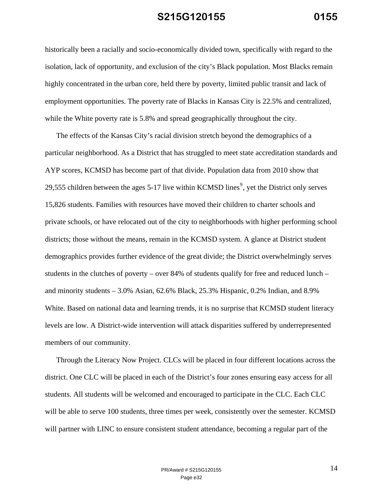historically been a racially and socio-economically divided town, specifically with regard to the isolation, lack of opportunity, and exclusion of the city's Black population. Most Blacks remain highly concentrated in the urban core, held there by poverty, limited public transit and lack of employment opportunities. The poverty rate of Blacks in Kansas City is 22.5% and centralized, while the White poverty rate is 5.8% and spread geographically throughout the city.

The effects of the Kansas City's racial division stretch beyond the demographics of a particular neighborhood. As a District that has struggled to meet state accreditation standards and AYP scores, KCMSD has become part of that divide. Population data from 2010 show that 29,555 children between the ages 5-17 live within KCMSD lines<sup>9</sup>, yet the District only serves 15,826 students. Families with resources have moved their children to charter schools and private schools, or have relocated out of the city to neighborhoods with higher performing school districts; those without the means, remain in the KCMSD system. A glance at District student demographics provides further evidence of the great divide; the District overwhelmingly serves students in the clutches of poverty – over 84% of students qualify for free and reduced lunch – and minority students – 3.0% Asian, 62.6% Black, 25.3% Hispanic, 0.2% Indian, and 8.9% White. Based on national data and learning trends, it is no surprise that KCMSD student literacy levels are low. A District-wide intervention will attack disparities suffered by underrepresented members of our community.

Through the Literacy Now Project. CLCs will be placed in four different locations across the district. One CLC will be placed in each of the District's four zones ensuring easy access for all students. All students will be welcomed and encouraged to participate in the CLC. Each CLC will be able to serve 100 students, three times per week, consistently over the semester. KCMSD will partner with LINC to ensure consistent student attendance, becoming a regular part of the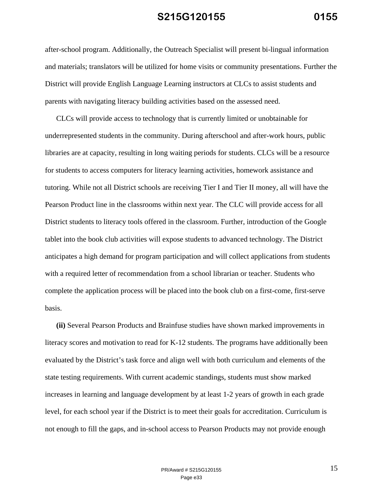after-school program. Additionally, the Outreach Specialist will present bi-lingual information and materials; translators will be utilized for home visits or community presentations. Further the District will provide English Language Learning instructors at CLCs to assist students and parents with navigating literacy building activities based on the assessed need.

CLCs will provide access to technology that is currently limited or unobtainable for underrepresented students in the community. During afterschool and after-work hours, public libraries are at capacity, resulting in long waiting periods for students. CLCs will be a resource for students to access computers for literacy learning activities, homework assistance and tutoring. While not all District schools are receiving Tier I and Tier II money, all will have the Pearson Product line in the classrooms within next year. The CLC will provide access for all District students to literacy tools offered in the classroom. Further, introduction of the Google tablet into the book club activities will expose students to advanced technology. The District anticipates a high demand for program participation and will collect applications from students with a required letter of recommendation from a school librarian or teacher. Students who complete the application process will be placed into the book club on a first-come, first-serve basis.

**(ii)** Several Pearson Products and Brainfuse studies have shown marked improvements in literacy scores and motivation to read for K-12 students. The programs have additionally been evaluated by the District's task force and align well with both curriculum and elements of the state testing requirements. With current academic standings, students must show marked increases in learning and language development by at least 1-2 years of growth in each grade level, for each school year if the District is to meet their goals for accreditation. Curriculum is not enough to fill the gaps, and in-school access to Pearson Products may not provide enough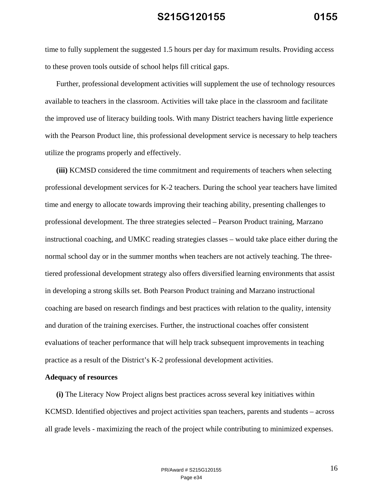time to fully supplement the suggested 1.5 hours per day for maximum results. Providing access to these proven tools outside of school helps fill critical gaps.

Further, professional development activities will supplement the use of technology resources available to teachers in the classroom. Activities will take place in the classroom and facilitate the improved use of literacy building tools. With many District teachers having little experience with the Pearson Product line, this professional development service is necessary to help teachers utilize the programs properly and effectively.

**(iii)** KCMSD considered the time commitment and requirements of teachers when selecting professional development services for K-2 teachers. During the school year teachers have limited time and energy to allocate towards improving their teaching ability, presenting challenges to professional development. The three strategies selected – Pearson Product training, Marzano instructional coaching, and UMKC reading strategies classes – would take place either during the normal school day or in the summer months when teachers are not actively teaching. The threetiered professional development strategy also offers diversified learning environments that assist in developing a strong skills set. Both Pearson Product training and Marzano instructional coaching are based on research findings and best practices with relation to the quality, intensity and duration of the training exercises. Further, the instructional coaches offer consistent evaluations of teacher performance that will help track subsequent improvements in teaching practice as a result of the District's K-2 professional development activities.

#### **Adequacy of resources**

**(i)** The Literacy Now Project aligns best practices across several key initiatives within KCMSD. Identified objectives and project activities span teachers, parents and students – across all grade levels - maximizing the reach of the project while contributing to minimized expenses.

> PR/Award # S215G120155  $16$ Page e34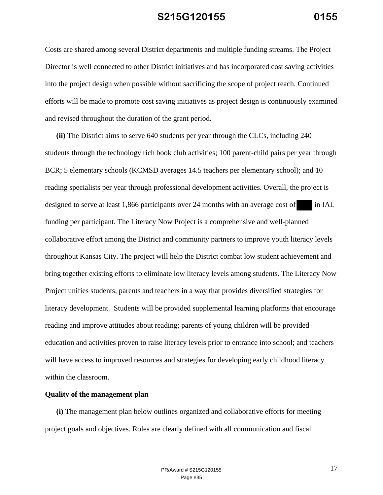Costs are shared among several District departments and multiple funding streams. The Project Director is well connected to other District initiatives and has incorporated cost saving activities into the project design when possible without sacrificing the scope of project reach. Continued efforts will be made to promote cost saving initiatives as project design is continuously examined and revised throughout the duration of the grant period.

**(ii)** The District aims to serve 640 students per year through the CLCs, including 240 students through the technology rich book club activities; 100 parent-child pairs per year through BCR; 5 elementary schools (KCMSD averages 14.5 teachers per elementary school); and 10 reading specialists per year through professional development activities. Overall, the project is designed to serve at least 1,866 participants over 24 months with an average cost of in IAL funding per participant. The Literacy Now Project is a comprehensive and well-planned collaborative effort among the District and community partners to improve youth literacy levels throughout Kansas City. The project will help the District combat low student achievement and bring together existing efforts to eliminate low literacy levels among students. The Literacy Now Project unifies students, parents and teachers in a way that provides diversified strategies for literacy development. Students will be provided supplemental learning platforms that encourage reading and improve attitudes about reading; parents of young children will be provided education and activities proven to raise literacy levels prior to entrance into school; and teachers will have access to improved resources and strategies for developing early childhood literacy within the classroom.

#### **Quality of the management plan**

**(i)** The management plan below outlines organized and collaborative efforts for meeting project goals and objectives. Roles are clearly defined with all communication and fiscal

> PR/Award # S215G120155 17 Page e35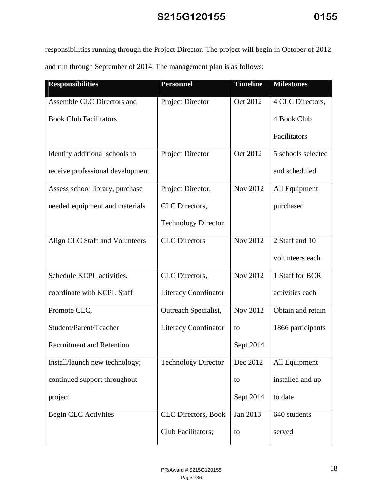responsibilities running through the Project Director. The project will begin in October of 2012 and run through September of 2014. The management plan is as follows:

| <b>Responsibilities</b>          | <b>Personnel</b>            | <b>Timeline</b> | <b>Milestones</b>  |
|----------------------------------|-----------------------------|-----------------|--------------------|
| Assemble CLC Directors and       | <b>Project Director</b>     | Oct 2012        | 4 CLC Directors,   |
| <b>Book Club Facilitators</b>    |                             |                 | 4 Book Club        |
|                                  |                             |                 | Facilitators       |
| Identify additional schools to   | <b>Project Director</b>     | Oct 2012        | 5 schools selected |
| receive professional development |                             |                 | and scheduled      |
| Assess school library, purchase  | Project Director,           | Nov 2012        | All Equipment      |
| needed equipment and materials   | CLC Directors,              |                 | purchased          |
|                                  | <b>Technology Director</b>  |                 |                    |
| Align CLC Staff and Volunteers   | <b>CLC</b> Directors        | Nov 2012        | 2 Staff and 10     |
|                                  |                             |                 | volunteers each    |
| Schedule KCPL activities,        | CLC Directors,              | Nov 2012        | 1 Staff for BCR    |
| coordinate with KCPL Staff       | <b>Literacy Coordinator</b> |                 | activities each    |
| Promote CLC,                     | Outreach Specialist,        | Nov 2012        | Obtain and retain  |
| Student/Parent/Teacher           | <b>Literacy Coordinator</b> | to              | 1866 participants  |
| <b>Recruitment and Retention</b> |                             | Sept 2014       |                    |
| Install/launch new technology;   | <b>Technology Director</b>  | Dec 2012        | All Equipment      |
| continued support throughout     |                             | to              | installed and up   |
| project                          |                             | Sept 2014       | to date            |
| <b>Begin CLC Activities</b>      | <b>CLC</b> Directors, Book  | Jan 2013        | 640 students       |
|                                  | Club Facilitators;          | to              | served             |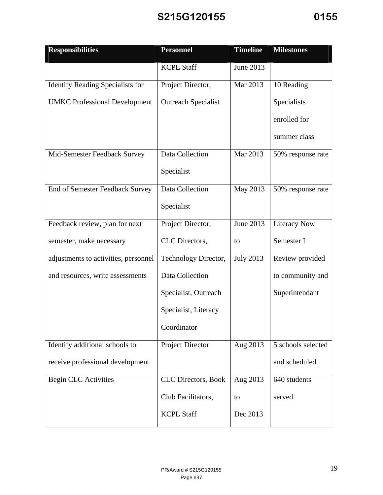| <b>Responsibilities</b>                 | <b>Personnel</b>           | <b>Timeline</b>  | <b>Milestones</b>   |
|-----------------------------------------|----------------------------|------------------|---------------------|
|                                         | <b>KCPL Staff</b>          | June 2013        |                     |
| <b>Identify Reading Specialists for</b> | Project Director,          | Mar 2013         | 10 Reading          |
| <b>UMKC</b> Professional Development    | <b>Outreach Specialist</b> |                  | Specialists         |
|                                         |                            |                  | enrolled for        |
|                                         |                            |                  | summer class        |
| Mid-Semester Feedback Survey            | Data Collection            | Mar 2013         | 50% response rate   |
|                                         | Specialist                 |                  |                     |
| End of Semester Feedback Survey         | Data Collection            | May 2013         | 50% response rate   |
|                                         | Specialist                 |                  |                     |
| Feedback review, plan for next          | Project Director,          | June 2013        | <b>Literacy Now</b> |
| semester, make necessary                | CLC Directors,             | to               | Semester I          |
| adjustments to activities, personnel    | Technology Director,       | <b>July 2013</b> | Review provided     |
| and resources, write assessments        | Data Collection            |                  | to community and    |
|                                         | Specialist, Outreach       |                  | Superintendant      |
|                                         | Specialist, Literacy       |                  |                     |
|                                         | Coordinator                |                  |                     |
| Identify additional schools to          | <b>Project Director</b>    | Aug 2013         | 5 schools selected  |
| receive professional development        |                            |                  | and scheduled       |
| <b>Begin CLC Activities</b>             | CLC Directors, Book        | Aug 2013         | 640 students        |
|                                         | Club Facilitators,         | to               | served              |
|                                         | <b>KCPL Staff</b>          | Dec 2013         |                     |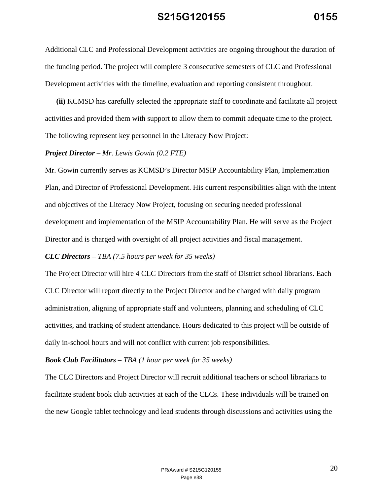Additional CLC and Professional Development activities are ongoing throughout the duration of the funding period. The project will complete 3 consecutive semesters of CLC and Professional Development activities with the timeline, evaluation and reporting consistent throughout.

**(ii)** KCMSD has carefully selected the appropriate staff to coordinate and facilitate all project activities and provided them with support to allow them to commit adequate time to the project. The following represent key personnel in the Literacy Now Project:

#### *Project Director – Mr. Lewis Gowin (0.2 FTE)*

Mr. Gowin currently serves as KCMSD's Director MSIP Accountability Plan, Implementation Plan, and Director of Professional Development. His current responsibilities align with the intent and objectives of the Literacy Now Project, focusing on securing needed professional development and implementation of the MSIP Accountability Plan. He will serve as the Project Director and is charged with oversight of all project activities and fiscal management.

#### *CLC Directors – TBA (7.5 hours per week for 35 weeks)*

The Project Director will hire 4 CLC Directors from the staff of District school librarians. Each CLC Director will report directly to the Project Director and be charged with daily program administration, aligning of appropriate staff and volunteers, planning and scheduling of CLC activities, and tracking of student attendance. Hours dedicated to this project will be outside of daily in-school hours and will not conflict with current job responsibilities.

#### *Book Club Facilitators – TBA (1 hour per week for 35 weeks)*

The CLC Directors and Project Director will recruit additional teachers or school librarians to facilitate student book club activities at each of the CLCs. These individuals will be trained on the new Google tablet technology and lead students through discussions and activities using the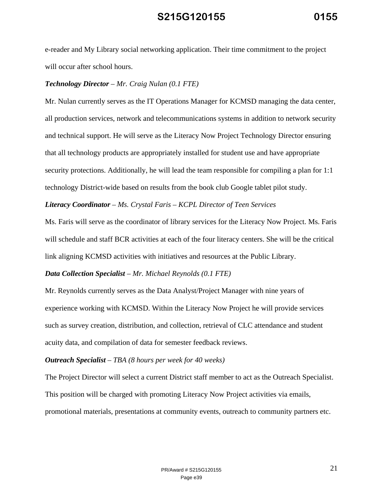e-reader and My Library social networking application. Their time commitment to the project will occur after school hours.

#### *Technology Director – Mr. Craig Nulan (0.1 FTE)*

Mr. Nulan currently serves as the IT Operations Manager for KCMSD managing the data center, all production services, network and telecommunications systems in addition to network security and technical support. He will serve as the Literacy Now Project Technology Director ensuring that all technology products are appropriately installed for student use and have appropriate security protections. Additionally, he will lead the team responsible for compiling a plan for 1:1 technology District-wide based on results from the book club Google tablet pilot study.

#### *Literacy Coordinator – Ms. Crystal Faris – KCPL Director of Teen Services*

Ms. Faris will serve as the coordinator of library services for the Literacy Now Project. Ms. Faris will schedule and staff BCR activities at each of the four literacy centers. She will be the critical link aligning KCMSD activities with initiatives and resources at the Public Library.

#### *Data Collection Specialist – Mr. Michael Reynolds (0.1 FTE)*

Mr. Reynolds currently serves as the Data Analyst/Project Manager with nine years of experience working with KCMSD. Within the Literacy Now Project he will provide services such as survey creation, distribution, and collection, retrieval of CLC attendance and student acuity data, and compilation of data for semester feedback reviews.

#### *Outreach Specialist – TBA (8 hours per week for 40 weeks)*

The Project Director will select a current District staff member to act as the Outreach Specialist. This position will be charged with promoting Literacy Now Project activities via emails, promotional materials, presentations at community events, outreach to community partners etc.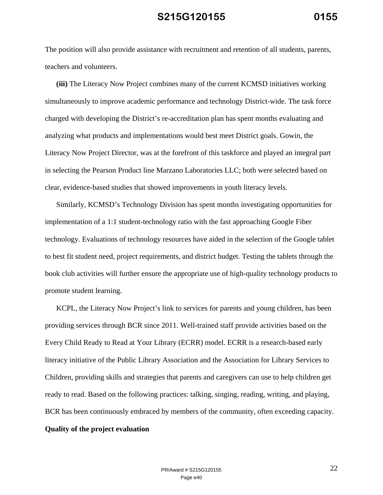The position will also provide assistance with recruitment and retention of all students, parents, teachers and volunteers.

**(iii)** The Literacy Now Project combines many of the current KCMSD initiatives working simultaneously to improve academic performance and technology District-wide. The task force charged with developing the District's re-accreditation plan has spent months evaluating and analyzing what products and implementations would best meet District goals. Gowin, the Literacy Now Project Director, was at the forefront of this taskforce and played an integral part in selecting the Pearson Product line Marzano Laboratories LLC; both were selected based on clear, evidence-based studies that showed improvements in youth literacy levels.

Similarly, KCMSD's Technology Division has spent months investigating opportunities for implementation of a 1:1 student-technology ratio with the fast approaching Google Fiber technology. Evaluations of technology resources have aided in the selection of the Google tablet to best fit student need, project requirements, and district budget. Testing the tablets through the book club activities will further ensure the appropriate use of high-quality technology products to promote student learning.

KCPL, the Literacy Now Project's link to services for parents and young children, has been providing services through BCR since 2011. Well-trained staff provide activities based on the Every Child Ready to Read at Your Library (ECRR) model. ECRR is a research-based early literacy initiative of the Public Library Association and the Association for Library Services to Children, providing skills and strategies that parents and caregivers can use to help children get ready to read. Based on the following practices: talking, singing, reading, writing, and playing, BCR has been continuously embraced by members of the community, often exceeding capacity.

#### **Quality of the project evaluation**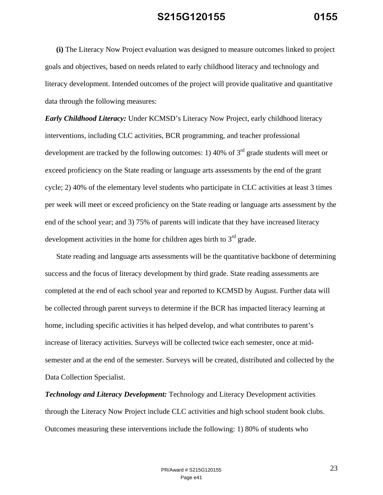**(i)** The Literacy Now Project evaluation was designed to measure outcomes linked to project goals and objectives, based on needs related to early childhood literacy and technology and literacy development. Intended outcomes of the project will provide qualitative and quantitative data through the following measures:

*Early Childhood Literacy:* Under KCMSD's Literacy Now Project, early childhood literacy interventions, including CLC activities, BCR programming, and teacher professional development are tracked by the following outcomes: 1) 40% of  $3<sup>rd</sup>$  grade students will meet or exceed proficiency on the State reading or language arts assessments by the end of the grant cycle; 2) 40% of the elementary level students who participate in CLC activities at least 3 times per week will meet or exceed proficiency on the State reading or language arts assessment by the end of the school year; and 3) 75% of parents will indicate that they have increased literacy development activities in the home for children ages birth to  $3<sup>rd</sup>$  grade.

State reading and language arts assessments will be the quantitative backbone of determining success and the focus of literacy development by third grade. State reading assessments are completed at the end of each school year and reported to KCMSD by August. Further data will be collected through parent surveys to determine if the BCR has impacted literacy learning at home, including specific activities it has helped develop, and what contributes to parent's increase of literacy activities. Surveys will be collected twice each semester, once at midsemester and at the end of the semester. Surveys will be created, distributed and collected by the Data Collection Specialist.

*Technology and Literacy Development:* Technology and Literacy Development activities through the Literacy Now Project include CLC activities and high school student book clubs. Outcomes measuring these interventions include the following: 1) 80% of students who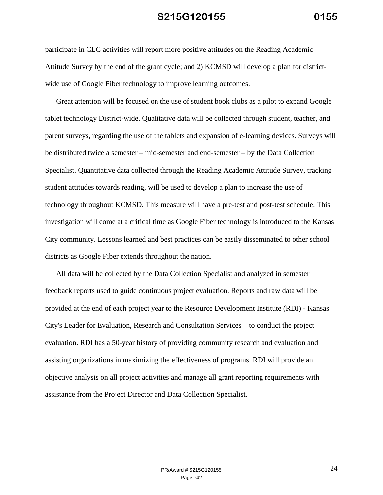participate in CLC activities will report more positive attitudes on the Reading Academic Attitude Survey by the end of the grant cycle; and 2) KCMSD will develop a plan for districtwide use of Google Fiber technology to improve learning outcomes.

Great attention will be focused on the use of student book clubs as a pilot to expand Google tablet technology District-wide. Qualitative data will be collected through student, teacher, and parent surveys, regarding the use of the tablets and expansion of e-learning devices. Surveys will be distributed twice a semester – mid-semester and end-semester – by the Data Collection Specialist. Quantitative data collected through the Reading Academic Attitude Survey, tracking student attitudes towards reading, will be used to develop a plan to increase the use of technology throughout KCMSD. This measure will have a pre-test and post-test schedule. This investigation will come at a critical time as Google Fiber technology is introduced to the Kansas City community. Lessons learned and best practices can be easily disseminated to other school districts as Google Fiber extends throughout the nation.

All data will be collected by the Data Collection Specialist and analyzed in semester feedback reports used to guide continuous project evaluation. Reports and raw data will be provided at the end of each project year to the Resource Development Institute (RDI) - Kansas City's Leader for Evaluation, Research and Consultation Services – to conduct the project evaluation. RDI has a 50-year history of providing community research and evaluation and assisting organizations in maximizing the effectiveness of programs. RDI will provide an objective analysis on all project activities and manage all grant reporting requirements with assistance from the Project Director and Data Collection Specialist.